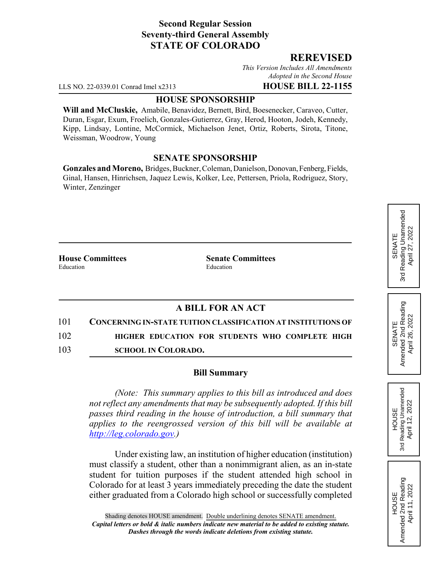# **Second Regular Session Seventy-third General Assembly STATE OF COLORADO**

### **REREVISED**

*This Version Includes All Amendments Adopted in the Second House*

LLS NO. 22-0339.01 Conrad Imel x2313 **HOUSE BILL 22-1155**

### **HOUSE SPONSORSHIP**

**Will and McCluskie,** Amabile, Benavidez, Bernett, Bird, Boesenecker, Caraveo, Cutter, Duran, Esgar, Exum, Froelich, Gonzales-Gutierrez, Gray, Herod, Hooton, Jodeh, Kennedy, Kipp, Lindsay, Lontine, McCormick, Michaelson Jenet, Ortiz, Roberts, Sirota, Titone, Weissman, Woodrow, Young

#### **SENATE SPONSORSHIP**

**Gonzales and Moreno,** Bridges, Buckner, Coleman, Danielson, Donovan, Fenberg, Fields, Ginal, Hansen, Hinrichsen, Jaquez Lewis, Kolker, Lee, Pettersen, Priola, Rodriguez, Story, Winter, Zenzinger

**House Committees Senate Committees** Education Education

# **A BILL FOR AN ACT**

101 **CONCERNING IN-STATE TUITION CLASSIFICATION AT INSTITUTIONS OF** 102 **HIGHER EDUCATION FOR STUDENTS WHO COMPLETE HIGH**

103 **SCHOOL IN COLORADO.**

#### **Bill Summary**

*(Note: This summary applies to this bill as introduced and does not reflect any amendments that may be subsequently adopted. If this bill passes third reading in the house of introduction, a bill summary that applies to the reengrossed version of this bill will be available at http://leg.colorado.gov.)*

Under existing law, an institution of higher education (institution) must classify a student, other than a nonimmigrant alien, as an in-state student for tuition purposes if the student attended high school in Colorado for at least 3 years immediately preceding the date the student either graduated from a Colorado high school or successfully completed

**HOUSE** 3rd Reading Unamended April 12, 2022

Reading Unamended April 12, 2022

3rd

HOUSE<br>Amended 2nd Reading Amended 2nd Reading April 11, 2022

April 11, 2022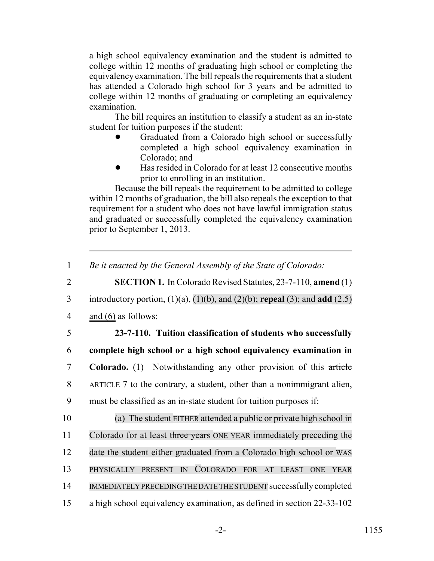a high school equivalency examination and the student is admitted to college within 12 months of graduating high school or completing the equivalency examination. The bill repeals the requirements that a student has attended a Colorado high school for 3 years and be admitted to college within 12 months of graduating or completing an equivalency examination.

The bill requires an institution to classify a student as an in-state student for tuition purposes if the student:

- ! Graduated from a Colorado high school or successfully completed a high school equivalency examination in Colorado; and
- ! Has resided in Colorado for at least 12 consecutive months prior to enrolling in an institution.

Because the bill repeals the requirement to be admitted to college within 12 months of graduation, the bill also repeals the exception to that requirement for a student who does not have lawful immigration status and graduated or successfully completed the equivalency examination prior to September 1, 2013.

- 2 **SECTION 1.** In Colorado Revised Statutes, 23-7-110, **amend** (1)
- 3 introductory portion, (1)(a), (1)(b), and (2)(b); **repeal** (3); and **add** (2.5)
- 4 and (6) as follows:
- 

 **23-7-110. Tuition classification of students who successfully complete high school or a high school equivalency examination in Colorado.** (1) Notwithstanding any other provision of this article ARTICLE 7 to the contrary, a student, other than a nonimmigrant alien, must be classified as an in-state student for tuition purposes if:

 (a) The student EITHER attended a public or private high school in 11 Colorado for at least three years ONE YEAR immediately preceding the 12 date the student either graduated from a Colorado high school or WAS PHYSICALLY PRESENT IN COLORADO FOR AT LEAST ONE YEAR IMMEDIATELY PRECEDING THE DATE THE STUDENT successfully completed a high school equivalency examination, as defined in section 22-33-102

<sup>1</sup> *Be it enacted by the General Assembly of the State of Colorado:*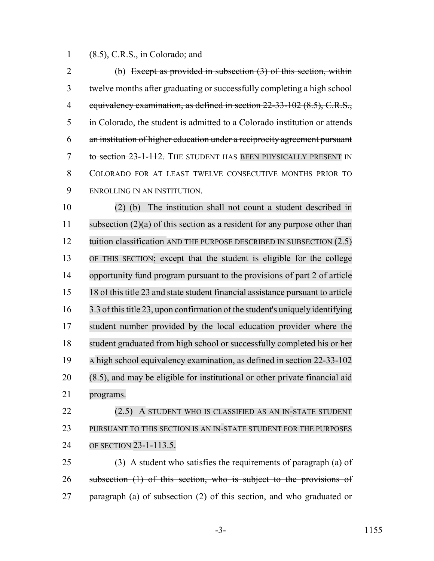1  $(8.5)$ , C.R.S., in Colorado; and

 (b) Except as provided in subsection (3) of this section, within twelve months after graduating or successfully completing a high school 4 equivalency examination, as defined in section 22-33-102 (8.5), C.R.S., in Colorado, the student is admitted to a Colorado institution or attends an institution of higher education under a reciprocity agreement pursuant 7 to section 23-1-112. THE STUDENT HAS BEEN PHYSICALLY PRESENT IN COLORADO FOR AT LEAST TWELVE CONSECUTIVE MONTHS PRIOR TO ENROLLING IN AN INSTITUTION.

 (2) (b) The institution shall not count a student described in subsection (2)(a) of this section as a resident for any purpose other than 12 tuition classification AND THE PURPOSE DESCRIBED IN SUBSECTION (2.5) OF THIS SECTION; except that the student is eligible for the college opportunity fund program pursuant to the provisions of part 2 of article 18 of thistitle 23 and state student financial assistance pursuant to article 3.3 of thistitle 23, upon confirmation of the student's uniquely identifying student number provided by the local education provider where the 18 student graduated from high school or successfully completed his or her A high school equivalency examination, as defined in section 22-33-102 (8.5), and may be eligible for institutional or other private financial aid programs.

 (2.5) A STUDENT WHO IS CLASSIFIED AS AN IN-STATE STUDENT PURSUANT TO THIS SECTION IS AN IN-STATE STUDENT FOR THE PURPOSES OF SECTION 23-1-113.5.

25 (3) A student who satisfies the requirements of paragraph  $(a)$  of 26 subsection (1) of this section, who is subject to the provisions of 27 paragraph (a) of subsection  $(2)$  of this section, and who graduated or